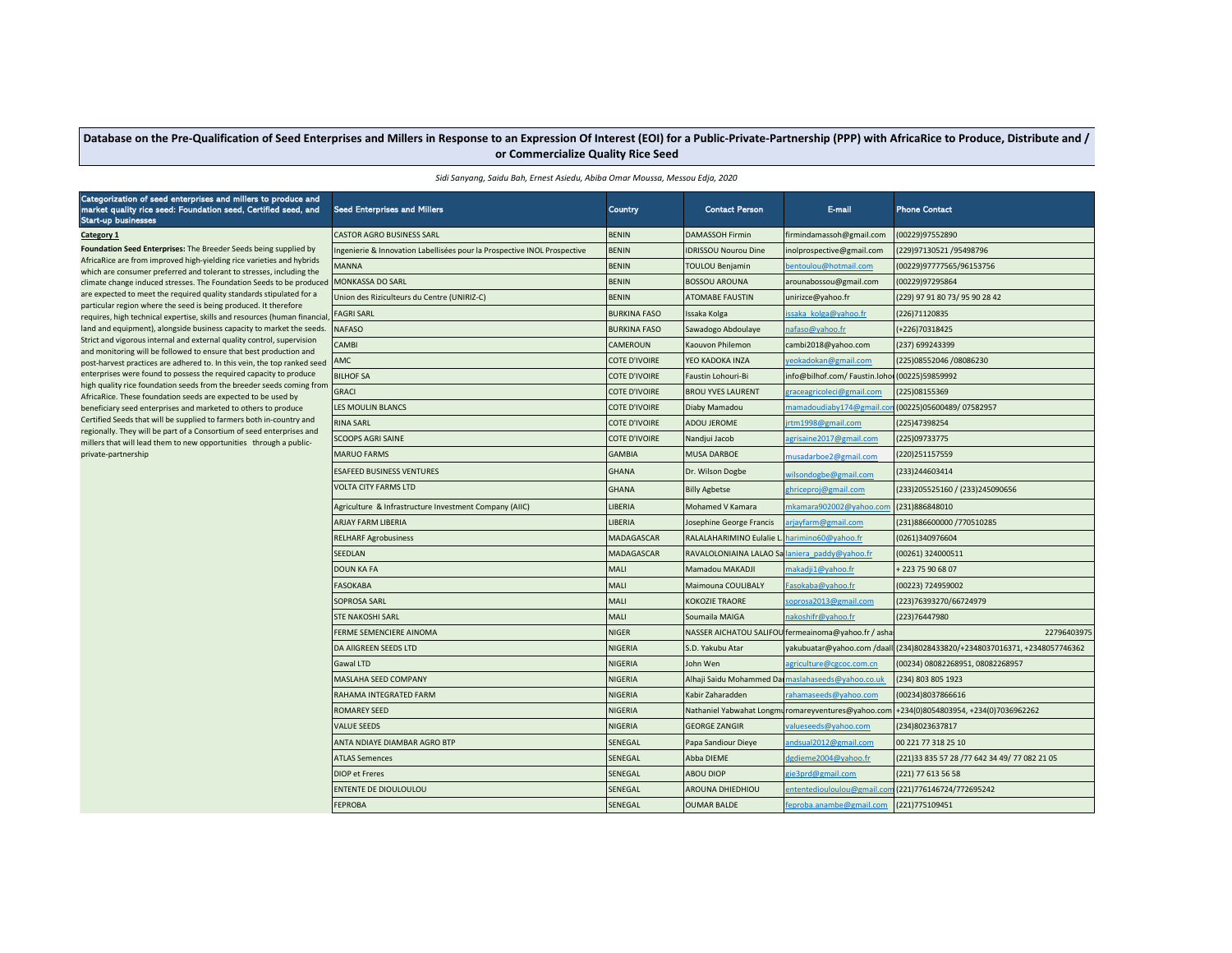## Database on the Pre-Qualification of Seed Enterprises and Millers in Response to an Expression Of Interest (EOI) for a Public-Private-Partnership (PPP) with AfricaRice to Produce, Distribute and / **or Commercialize Quality Rice Seed**

|  |  |  |  |  | Sidi Sanyang, Saidu Bah, Ernest Asiedu, Abiba Omar Moussa, Messou Edja, 2020 |
|--|--|--|--|--|------------------------------------------------------------------------------|
|--|--|--|--|--|------------------------------------------------------------------------------|

## Categorization of seed enterprises and millers to produce and market quality rice seed: Foundation seed, Certified seed, and Start-up businesses **Foundation Seed Enterprises:** The Breeder Seeds being supplied by AfricaRice are from improved high-yielding rice varieties and hybrids which are consumer preferred and tolerant to stresses, including the climate change induced stresses. The Foundation Seeds to be produce are expected to meet the required quality standards stipulated for a particular region where the seed is being produced. It therefore requires, high technical expertise, skills and resources (human financi land and equipment), alongside business capacity to market the seeds. Strict and vigorous internal and external quality control, supervision and monitoring will be followed to ensure that best production and post-harvest practices are adhered to. In this vein, the top ranked see enterprises were found to possess the required capacity to produce high quality rice foundation seeds from the breeder seeds coming from AfricaRice. These foundation seeds are expected to be used by beneficiary seed enterprises and marketed to others to produce Certified Seeds that will be supplied to farmers both in-country and regionally. They will be part of a Consortium of seed enterprises and millers that will lead them to new opportunities through a publicprivate-partnership

| market quality rice seed: Foundation seed, Certified seed, and<br><b>Start-up businesses</b>                                                                                                                                                                                                   | <b>Seed Enterprises and Millers</b>                                     | Country             | <b>Contact Person</b>       | E-mail                                              | <b>Phone Contact</b>                           |
|------------------------------------------------------------------------------------------------------------------------------------------------------------------------------------------------------------------------------------------------------------------------------------------------|-------------------------------------------------------------------------|---------------------|-----------------------------|-----------------------------------------------------|------------------------------------------------|
| Category 1                                                                                                                                                                                                                                                                                     | <b>CASTOR AGRO BUSINESS SARL</b>                                        | <b>BENIN</b>        | <b>DAMASSOH Firmin</b>      | firmindamassoh@gmail.com                            | 00229)97552890                                 |
| Foundation Seed Enterprises: The Breeder Seeds being supplied by                                                                                                                                                                                                                               | ngenierie & Innovation Labellisées pour la Prospective INOL Prospective | <b>BENIN</b>        | <b>IDRISSOU Nourou Dine</b> | inolprospective@gmail.com                           | (229)97130521 /95498796                        |
| AfricaRice are from improved high-yielding rice varieties and hybrids<br>which are consumer preferred and tolerant to stresses, including the                                                                                                                                                  | <b>MANNA</b>                                                            | <b>BENIN</b>        | TOULOU Benjamin             | entoulou@hotmail.com                                | 00229)97777565/96153756                        |
| climate change induced stresses. The Foundation Seeds to be produced                                                                                                                                                                                                                           | MONKASSA DO SARL                                                        | <b>BENIN</b>        | <b>BOSSOU AROUNA</b>        | arounabossou@gmail.com                              | (00229)97295864                                |
| are expected to meet the required quality standards stipulated for a<br>particular region where the seed is being produced. It therefore<br>requires, high technical expertise, skills and resources (human financial<br>land and equipment), alongside business capacity to market the seeds. | Union des Riziculteurs du Centre (UNIRIZ-C)                             | <b>BENIN</b>        | <b>ATOMABE FAUSTIN</b>      | unirizce@yahoo.fr                                   | (229) 97 91 80 73/ 95 90 28 42                 |
|                                                                                                                                                                                                                                                                                                | <b>FAGRI SARL</b>                                                       | <b>BURKINA FASO</b> | Issaka Kolga                | ssaka kolga@yahoo.fr                                | (226)71120835                                  |
|                                                                                                                                                                                                                                                                                                | <b>NAFASO</b>                                                           | <b>BURKINA FASO</b> | Sawadogo Abdoulaye          | nafaso@yahoo.fr                                     | +226)70318425                                  |
| Strict and vigorous internal and external quality control, supervision                                                                                                                                                                                                                         | CAMBI                                                                   | CAMEROUN            | Kaouvon Philemon            | cambi2018@yahoo.com                                 | (237) 699243399                                |
| and monitoring will be followed to ensure that best production and                                                                                                                                                                                                                             | AMC                                                                     | COTE D'IVOIRE       | YEO KADOKA INZA             | reokadokan@gmail.com                                | (225)08552046 /08086230                        |
| post-harvest practices are adhered to. In this vein, the top ranked seed<br>enterprises were found to possess the required capacity to produce<br>high quality rice foundation seeds from the breeder seeds coming from                                                                        |                                                                         |                     |                             |                                                     |                                                |
|                                                                                                                                                                                                                                                                                                | <b>BILHOF SA</b>                                                        | COTE D'IVOIRE       | Faustin Lohouri-Bi          | info@bilhof.com/Faustin.loho                        | (00225)59859992                                |
| AfricaRice. These foundation seeds are expected to be used by                                                                                                                                                                                                                                  | GRACI                                                                   | COTE D'IVOIRE       | <b>BROU YVES LAURENT</b>    | <u>zraceagricoleci@gmail.com</u>                    | (225)08155369                                  |
| beneficiary seed enterprises and marketed to others to produce                                                                                                                                                                                                                                 | LES MOULIN BLANCS                                                       | COTE D'IVOIRE       | Diaby Mamadou               | mamadoudiaby174@gmail.co                            | (00225)05600489/07582957                       |
| Certified Seeds that will be supplied to farmers both in-country and<br>regionally. They will be part of a Consortium of seed enterprises and                                                                                                                                                  | RINA SARL                                                               | COTE D'IVOIRE       | ADOU JEROME                 | irtm1998@gmail.com                                  | (225)47398254                                  |
| millers that will lead them to new opportunities through a public-                                                                                                                                                                                                                             | <b>SCOOPS AGRI SAINE</b>                                                | COTE D'IVOIRE       | Nandjui Jacob               | grisaine2017@gmail.com                              | (225)09733775                                  |
| private-partnership                                                                                                                                                                                                                                                                            | <b>MARUO FARMS</b>                                                      | <b>GAMBIA</b>       | <b>MUSA DARBOE</b>          | nusadarboe2@gmail.com                               | (220) 2511 57559                               |
|                                                                                                                                                                                                                                                                                                | ESAFEED BUSINESS VENTURES                                               | <b>GHANA</b>        | Dr. Wilson Dogbe            | wilsondogbe@gmail.com                               | (233)244603414                                 |
|                                                                                                                                                                                                                                                                                                | <b>VOLTA CITY FARMS LTD</b>                                             | <b>GHANA</b>        | <b>Billy Agbetse</b>        | zhriceproj@gmail.com                                | (233)205525160 / (233)245090656                |
|                                                                                                                                                                                                                                                                                                | Agriculture & Infrastructure Investment Company (AIIC)                  | LIBERIA             | Mohamed V Kamara            | mkamara902002@yahoo.co                              | (231)886848010                                 |
|                                                                                                                                                                                                                                                                                                | ARJAY FARM LIBERIA                                                      | LIBERIA             | Josephine George Francis    | arjayfarm@gmail.com                                 | (231)886600000 /770510285                      |
|                                                                                                                                                                                                                                                                                                | <b>RELHARF Agrobusiness</b>                                             | MADAGASCAR          | RALALAHARIMINO Eulalie      | harimino60@yahoo.fr                                 | (0261)340976604                                |
|                                                                                                                                                                                                                                                                                                | SEEDLAN                                                                 | MADAGASCAR          | RAVALOLONIAINA LALAO Sa     | laniera paddy@yahoo.fr                              | (00261) 324000511                              |
|                                                                                                                                                                                                                                                                                                | DOUN KA FA                                                              | MALI                | Mamadou MAKADJI             | nakadji1@yahoo.fr                                   | 223 75 90 68 07                                |
|                                                                                                                                                                                                                                                                                                | FASOKABA                                                                | MALI                | Maimouna COULIBALY          | asokaba@yahoo.fr                                    | (00223) 724959002                              |
|                                                                                                                                                                                                                                                                                                | <b>SOPROSA SARL</b>                                                     | MALI                | <b>KOKOZIE TRAORE</b>       | oprosa2013@gmail.com                                | (223)76393270/66724979                         |
|                                                                                                                                                                                                                                                                                                | <b>STE NAKOSHI SARL</b>                                                 | MALI                | Soumaila MAIGA              | nakoshifr@yahoo.fr                                  | (223)76447980                                  |
|                                                                                                                                                                                                                                                                                                | FERME SEMENCIERE AINOMA                                                 | <b>NIGER</b>        |                             | NASSER AICHATOU SALIFOU fermeainoma@yahoo.fr / asha | 22796403975                                    |
|                                                                                                                                                                                                                                                                                                | DA AIIGREEN SEEDS LTD                                                   | NIGERIA             | S.D. Yakubu Atar            | yakubuatar@yahoo.com /daall                         | (234)8028433820/+2348037016371, +2348057746362 |
|                                                                                                                                                                                                                                                                                                | Gawal LTD                                                               | NIGERIA             | John Wen                    | agriculture@cgcoc.com.cn                            | (00234) 08082268951, 08082268957               |
|                                                                                                                                                                                                                                                                                                | MASLAHA SEED COMPANY                                                    | <b>NIGERIA</b>      | Alhaji Saidu Mohammed Dai   | maslahaseeds@yahoo.co.uk                            | (234) 803 805 1923                             |
|                                                                                                                                                                                                                                                                                                | RAHAMA INTEGRATED FARM                                                  | NIGERIA             | Kabir Zaharadden            | rahamaseeds@yahoo.com                               | (00234)8037866616                              |
|                                                                                                                                                                                                                                                                                                | ROMAREY SEED                                                            | <b>NIGERIA</b>      | Nathaniel Yabwahat Longm    | romareyventures@yahoo.com                           | +234(0)8054803954, +234(0)7036962262           |
|                                                                                                                                                                                                                                                                                                | <b>VALUE SEEDS</b>                                                      | <b>NIGERIA</b>      | <b>GEORGE ZANGIR</b>        | valueseeds@yahoo.com                                | (234)8023637817                                |
|                                                                                                                                                                                                                                                                                                | ANTA NDIAYE DIAMBAR AGRO BTP                                            | SENEGAL             | Papa Sandiour Dieye         | andsual2012@gmail.com                               | 00 221 77 318 25 10                            |
|                                                                                                                                                                                                                                                                                                | <b>ATLAS Semences</b>                                                   | SENEGAL             | Abba DIEME                  | dgdieme2004@yahoo.fr                                | (221)33 835 57 28 /77 642 34 49/ 77 082 21 05  |
|                                                                                                                                                                                                                                                                                                | DIOP et Freres                                                          | SENEGAL             | <b>ABOU DIOP</b>            | zie3prd@gmail.com                                   | (221) 77 613 56 58                             |
|                                                                                                                                                                                                                                                                                                | ENTENTE DE DIOULOULOU                                                   | SENEGAL             | AROUNA DHIEDHIOU            | ntentediouloulou@gmail.cor                          | (221)776146724/772695242                       |
|                                                                                                                                                                                                                                                                                                | FEPROBA                                                                 | SENEGAL             | <b>OUMAR BALDE</b>          | feproba.anambe@gmail.com                            | (221)775109451                                 |
|                                                                                                                                                                                                                                                                                                |                                                                         |                     |                             |                                                     |                                                |